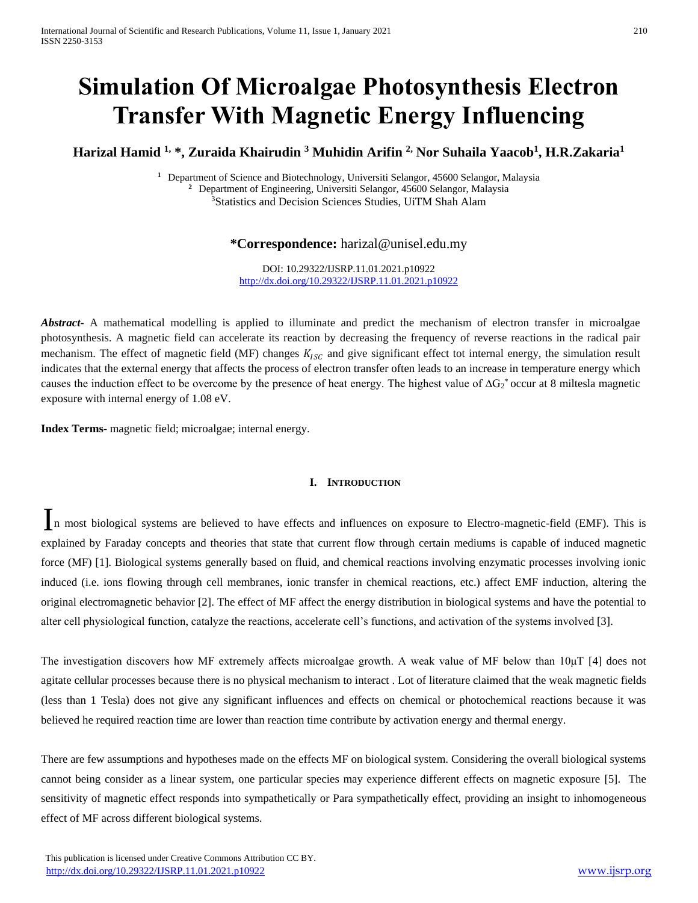# **Simulation Of Microalgae Photosynthesis Electron Transfer With Magnetic Energy Influencing**

## **Harizal Hamid 1, \*, Zuraida Khairudin <sup>3</sup> Muhidin Arifin 2, Nor Suhaila Yaacob<sup>1</sup> , H.R.Zakaria<sup>1</sup>**

**<sup>1</sup>** Department of Science and Biotechnology, Universiti Selangor, 45600 Selangor, Malaysia **<sup>2</sup>** Department of Engineering, Universiti Selangor, 45600 Selangor, Malaysia <sup>3</sup>Statistics and Decision Sciences Studies, UiTM Shah Alam

## **\*Correspondence:** harizal@unisel.edu.my

DOI: 10.29322/IJSRP.11.01.2021.p10922 <http://dx.doi.org/10.29322/IJSRP.11.01.2021.p10922>

*Abstract* A mathematical modelling is applied to illuminate and predict the mechanism of electron transfer in microalgae photosynthesis. A magnetic field can accelerate its reaction by decreasing the frequency of reverse reactions in the radical pair mechanism. The effect of magnetic field (MF) changes  $K_{ISC}$  and give significant effect tot internal energy, the simulation result indicates that the external energy that affects the process of electron transfer often leads to an increase in temperature energy which causes the induction effect to be overcome by the presence of heat energy. The highest value of  $\Delta G_2^*$  occur at 8 miltesla magnetic exposure with internal energy of 1.08 eV.

**Index Terms**- magnetic field; microalgae; internal energy.

## **I. INTRODUCTION**

In most biological systems are believed to have effects and influences on exposure to Electro-magnetic-field (EMF). This is explained by Faraday concepts and theories that state that current flow through certain mediums is capable of induced magnetic force (MF) [1]. Biological systems generally based on fluid, and chemical reactions involving enzymatic processes involving ionic induced (i.e. ions flowing through cell membranes, ionic transfer in chemical reactions, etc.) affect EMF induction, altering the original electromagnetic behavior [2]. The effect of MF affect the energy distribution in biological systems and have the potential to alter cell physiological function, catalyze the reactions, accelerate cell's functions, and activation of the systems involved [3].

The investigation discovers how MF extremely affects microalgae growth. A weak value of MF below than 10μT [4] does not agitate cellular processes because there is no physical mechanism to interact . Lot of literature claimed that the weak magnetic fields (less than 1 Tesla) does not give any significant influences and effects on chemical or photochemical reactions because it was believed he required reaction time are lower than reaction time contribute by activation energy and thermal energy.

There are few assumptions and hypotheses made on the effects MF on biological system. Considering the overall biological systems cannot being consider as a linear system, one particular species may experience different effects on magnetic exposure [5]. The sensitivity of magnetic effect responds into sympathetically or Para sympathetically effect, providing an insight to inhomogeneous effect of MF across different biological systems.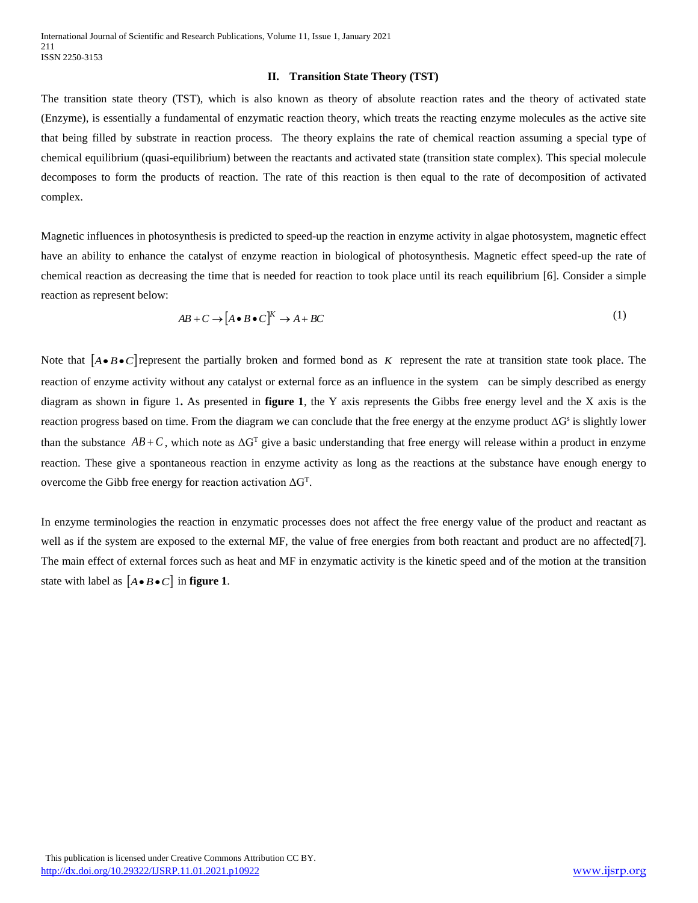#### **II. Transition State Theory (TST)**

The transition state theory (TST), which is also known as theory of absolute reaction rates and the theory of activated state (Enzyme), is essentially a fundamental of enzymatic reaction theory, which treats the reacting enzyme molecules as the active site that being filled by substrate in reaction process. The theory explains the rate of chemical reaction assuming a special type of chemical equilibrium (quasi-equilibrium) between the reactants and activated state (transition state complex). This special molecule decomposes to form the products of reaction. The rate of this reaction is then equal to the rate of decomposition of activated complex.

Magnetic influences in photosynthesis is predicted to speed-up the reaction in enzyme activity in algae photosystem, magnetic effect have an ability to enhance the catalyst of enzyme reaction in biological of photosynthesis. Magnetic effect speed-up the rate of chemical reaction as decreasing the time that is needed for reaction to took place until its reach equilibrium [6]. Consider a simple reaction as represent below:

$$
AB + C \to [A \bullet B \bullet C]^K \to A + BC \tag{1}
$$

Note that  $[A \cdot B \cdot C]$  represent the partially broken and formed bond as K represent the rate at transition state took place. The reaction of enzyme activity without any catalyst or external force as an influence in the system can be simply described as energy diagram as shown in figure 1**.** As presented in **figure 1**, the Y axis represents the Gibbs free energy level and the X axis is the reaction progress based on time. From the diagram we can conclude that the free energy at the enzyme product  $\Delta G^s$  is slightly lower than the substance  $AB + C$ , which note as  $\Delta G^T$  give a basic understanding that free energy will release within a product in enzyme reaction. These give a spontaneous reaction in enzyme activity as long as the reactions at the substance have enough energy to overcome the Gibb free energy for reaction activation  $\Delta G^{T}$ .

In enzyme terminologies the reaction in enzymatic processes does not affect the free energy value of the product and reactant as well as if the system are exposed to the external MF, the value of free energies from both reactant and product are no affected[7]. The main effect of external forces such as heat and MF in enzymatic activity is the kinetic speed and of the motion at the transition state with label as  $[A \bullet B \bullet C]$  in **figure 1**.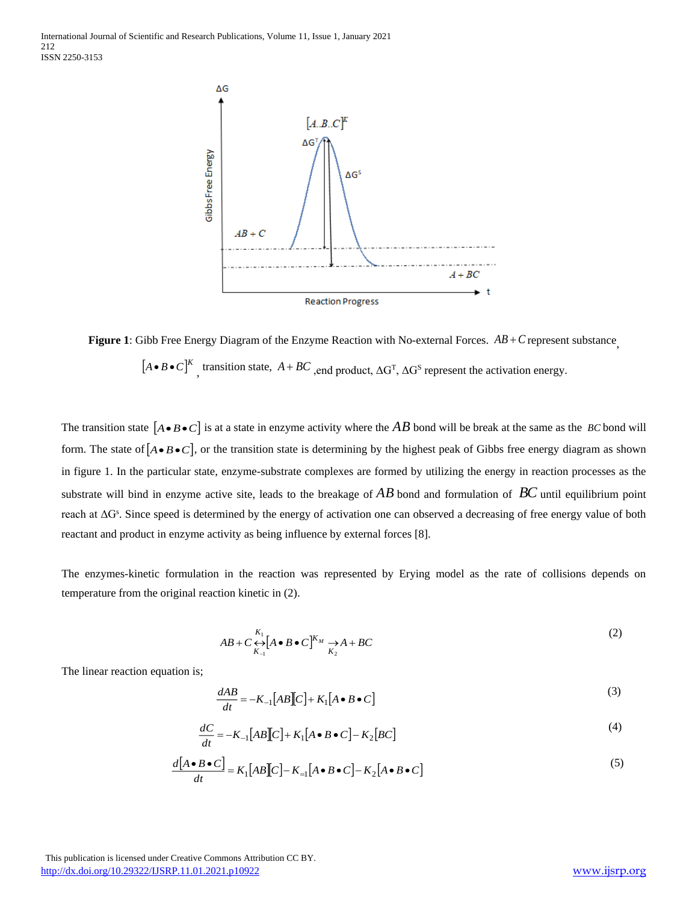

**Figure 1**: Gibb Free Energy Diagram of the Enzyme Reaction with No-external Forces.  $AB + C$  represent substance,  $[A \bullet B \bullet C]^K$ , transition state,  $A + BC$ , end product,  $\Delta G^T$ ,  $\Delta G^S$  represent the activation energy.

The transition state  $[A \cdot B \cdot C]$  is at a state in enzyme activity where the  $AB$  bond will be break at the same as the *BC* bond will form. The state of  $[A \cdot B \cdot C]$ , or the transition state is determining by the highest peak of Gibbs free energy diagram as shown in figure 1. In the particular state, enzyme-substrate complexes are formed by utilizing the energy in reaction processes as the substrate will bind in enzyme active site, leads to the breakage of *AB* bond and formulation of *BC* until equilibrium point reach at ΔG<sup>s</sup>. Since speed is determined by the energy of activation one can observed a decreasing of free energy value of both reactant and product in enzyme activity as being influence by external forces [8].

The enzymes-kinetic formulation in the reaction was represented by Erying model as the rate of collisions depends on temperature from the original reaction kinetic in (2).

$$
AB + C \underset{K_{-1}}{\leftrightarrow} [A \bullet B \bullet C]^{K_M} \underset{K_2}{\rightarrow} A + BC \tag{2}
$$

The linear reaction equation is;

$$
\frac{dAB}{dt} = -K_{-1}[AB][C] + K_1[A \bullet B \bullet C]
$$
\n(3)

$$
\frac{dC}{dt} = -K_{-1}[AB][C] + K_1[A \bullet B \bullet C] - K_2[BC]
$$
\n(4)

$$
\frac{d[A \bullet B \bullet C]}{dt} = K_1[AB][C] - K_{=1}[A \bullet B \bullet C] - K_2[A \bullet B \bullet C]
$$
\n(5)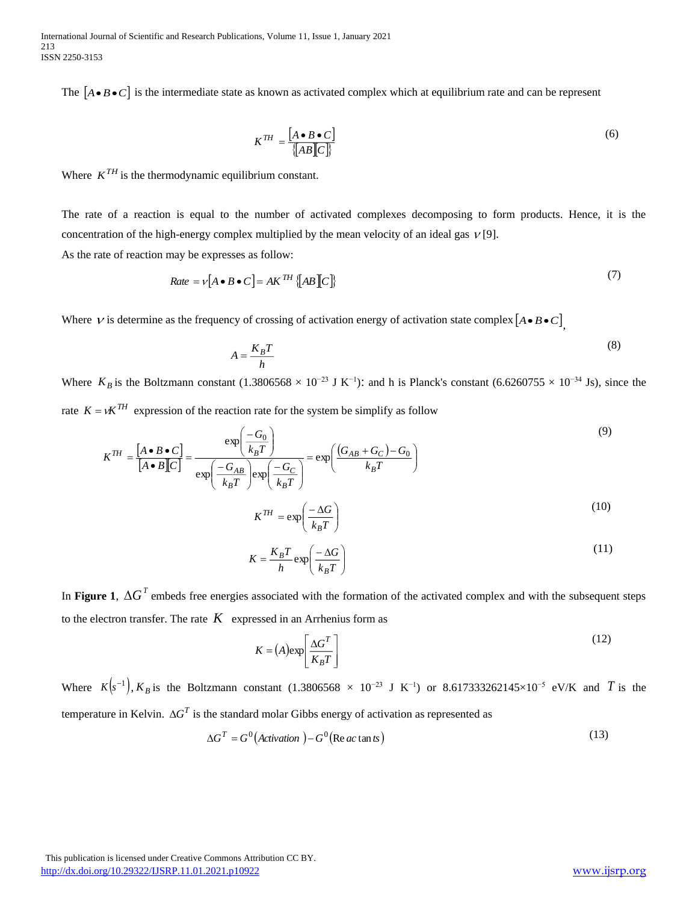The  $[A \bullet B \bullet C]$  is the intermediate state as known as activated complex which at equilibrium rate and can be represent

$$
K^{TH} = \frac{[A \bullet B \bullet C]}{\{AB[[C]\}}
$$
\n<sup>(6)</sup>

Where  $K^{TH}$  is the thermodynamic equilibrium constant.

The rate of a reaction is equal to the number of activated complexes decomposing to form products. Hence, it is the concentration of the high-energy complex multiplied by the mean velocity of an ideal gas  $V[9]$ . As the rate of reaction may be expresses as follow:

$$
Rate = v[A \bullet B \bullet C] = AK^{TH} \{AB[C]\}
$$
\n(7)

Where  $\nu$  is determine as the frequency of crossing of activation energy of activation state complex  $[A \bullet B \bullet C]$ <sub>,</sub>

$$
A = \frac{K_B T}{h} \tag{8}
$$

Where  $K_B$  is the Boltzmann constant (1.3806568 × 10<sup>-23</sup> J K<sup>-1</sup>): and h is Planck's constant (6.6260755 × 10<sup>-34</sup> Js), since the rate  $K = vK^{TH}$  expression of the reaction rate for the system be simplify as follow

*Rate* = 
$$
v[A \cdot B \cdot C] = AK^{TH}[AB]C
$$
]}  
\nWhere *V* is determine as the frequency of crossing of activation energy of activation state complex [ $A \cdot B \cdot C$ ]  
\n
$$
A = \frac{K_B T}{h}
$$
(8)  
\nWhere  $K_B$  is the Boltzmann constant (1.3806568 × 10<sup>-23</sup> J K<sup>-1</sup>); and h is Planck's constant (6.6260755 × 10<sup>-34</sup> Js), since the  
\nrate  $K = vK^{TH}$  expression of the reaction rate for the system be simplify as follow  
\n
$$
K^{TH} = \frac{[A \cdot B \cdot C]}{[A \cdot B]C]} = \frac{\exp\left(\frac{-G_0}{k_B T}\right)}{\exp\left(\frac{-G_0}{k_B T}\right) \exp\left(\frac{-G_C}{k_B T}\right)} = \exp\left(\frac{G_0}{k_B T}\right)
$$
(9)  
\n
$$
K^{TH} = \exp\left(\frac{-\lambda G}{k_B T}\right)
$$
(11)  
\nIn Figure 1,  $\Delta G^T$  embeds free energies associated with the formation of the activated complex and with the subsequent steps  
\nto the electron transfer. The rate *K* expressed in an Arthenius form as  
\n
$$
K = \frac{K_B T}{h} \exp\left(\frac{-\lambda G}{k_B T}\right)
$$
(12)  
\nWhere  $K[s^{-1}], K_B$  is the Boltzmann constant (1.3806568 × 10<sup>-23</sup> J K<sup>-1</sup>) or 8.617333262145×10<sup>-5</sup> eV/K and *T* is the  
\ntemperature in Kelvin.  $\Delta G^T$  is the standard molar Gibbs energy of activation as represented as  
\n
$$
\Delta G^T = G^0(Actwation) - G^0(\text{Re } \alpha \text{ t and } \alpha)
$$
(13)  
\nThis publication is licensed under Crenive Common Artinution CC BY.

$$
K = \frac{K_B T}{h} \exp\left(\frac{-\Delta G}{k_B T}\right) \tag{11}
$$

In Figure 1,  $\Delta G^T$  embeds free energies associated with the formation of the activated complex and with the subsequent steps to the electron transfer. The rate  $K$  expressed in an Arrhenius form as

$$
K = (A) \exp\left[\frac{\Delta G^T}{K_B T}\right]
$$
 (12)

Where  $K(s^{-1})$ ,  $K_B$  is the Boltzmann constant (1.3806568 × 10<sup>-23</sup> J K<sup>-1</sup>) or 8.617333262145×10<sup>-5</sup> eV/K and T is the temperature in Kelvin.  $\Delta G^T$  is the standard molar Gibbs energy of activation as represented as

$$
\Delta G^T = G^0 \left( \text{Activation } \right) - G^0 \left( \text{Re } ac \tan ts \right) \tag{13}
$$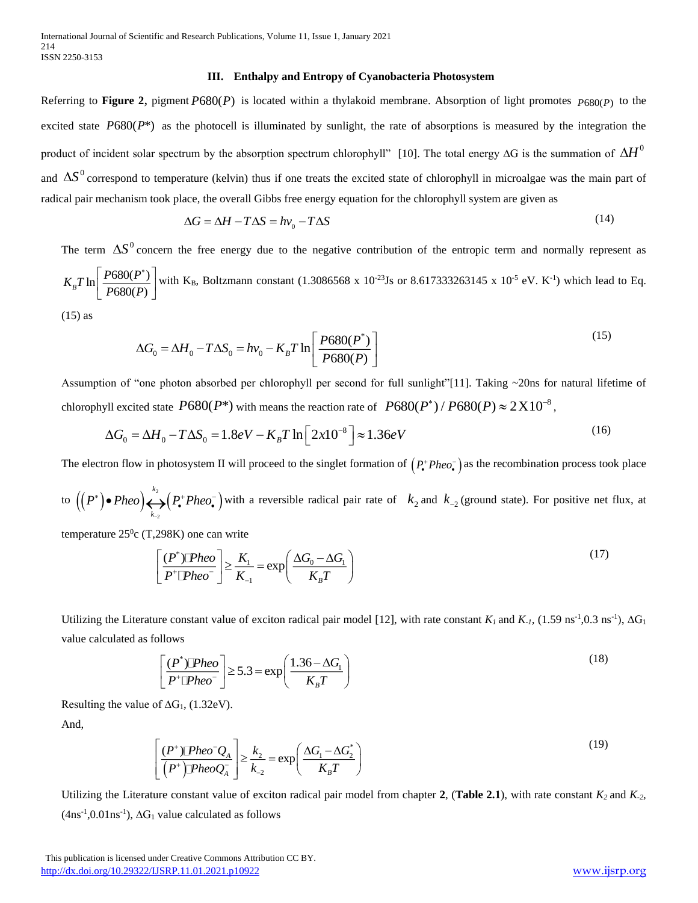#### **III. Enthalpy and Entropy of Cyanobacteria Photosystem**

Referring to **Figure 2**, pigment *P*680(*P*) is located within a thylakoid membrane. Absorption of light promotes *P*680(*P*) to the excited state  $P680(P^*)$  as the photocell is illuminated by sunlight, the rate of absorptions is measured by the integration the product of incident solar spectrum by the absorption spectrum chlorophyll" [10]. The total energy ∆G is the summation of  $\Delta H^0$ and  $\Delta S^0$  correspond to temperature (kelvin) thus if one treats the excited state of chlorophyll in microalgae was the main part of radical pair mechanism took place, the overall Gibbs free energy equation for the chlorophyll system are given as

$$
\Delta G = \Delta H - T\Delta S = hv_0 - T\Delta S \tag{14}
$$

The term  $\Delta S^0$  concern the free energy due to the negative contribution of the entropic term and normally represent as  $\ln \left| \frac{P680(P^{*})}{P} \right|$  $\left| \begin{array}{c} B^2 \end{array} \right|$  *P*680(*P*)  $K_{\rm n}T\ln\left|\frac{P680(P)}{P} \right|$ *P P*  $\lceil P680(P^*) \rceil$  $\left[\frac{P680(P)}{P680(P)}\right]$  with K<sub>B</sub>, Boltzmann constant (1.3086568 x 10<sup>-23</sup>Js or 8.617333263145 x 10<sup>-5</sup> eV. K<sup>-1</sup>) which lead to Eq.

(15) as

$$
\Delta G_0 = \Delta H_0 - T\Delta S_0 = hv_0 - K_B T \ln \left[ \frac{P680(P^*)}{P680(P)} \right]
$$
\n(15)

Assumption of "one photon absorbed per chlorophyll per second for full sunlight"[11]. Taking ~20ns for natural lifetime of chlorophyll excited state  $P680(P^*)$  with means the reaction rate of  $P680(P^*)/P680(P) \approx 2 \times 10^{-8}$ ,

$$
\Delta G_0 = \Delta H_0 - T \Delta S_0 = 1.8eV - K_B T \ln \left[ 2x10^{-8} \right] \approx 1.36eV
$$
 (16)

The electron flow in photosystem II will proceed to the singlet formation of  $(P^*Pheo^-)$  as the recombination process took place

to  $((P^*) \bullet Pheo) \leftrightarrow (P^* Pheo^-)$ 2 *k k*  $P^*$  **Pheo**  $\rightarrow$   $P^*$  *Pheo* •  $Pheo$   $\leftrightarrow$   $(P^*Pheo^-)$  with a reversible radical pair rate of  $k_2$  and  $k_{-2}$  (ground state). For positive net flux, at

temperature  $25^{\circ}$ c (T,298K) one can write

$$
\left[\frac{(P^*)\mathbb{P}heo}{P^+\mathbb{P}heo^{-}}\right] \geq \frac{K_1}{K_{-1}} = \exp\left(\frac{\Delta G_0 - \Delta G_1}{K_B T}\right)
$$
\n(17)

Utilizing the Literature constant value of exciton radical pair model [12], with rate constant  $K_l$  and  $K_l$ , (1.59 ns<sup>-1</sup>,0.3 ns<sup>-1</sup>),  $\Delta G_l$ value calculated as follows

$$
\left[\frac{(P^*)\Box Pheo}{P^*\Box Pheo^-}\right] \ge 5.3 = \exp\left(\frac{1.36 - \Delta G_1}{K_B T}\right)
$$
\n(18)

Resulting the value of  $\Delta G_1$ , (1.32eV). And,

$$
\left[\frac{(P^*)\mathbb{P}heo^{\top}Q_A}{(P^*)\mathbb{P}heoQ_A^{\top}}\right] \geq \frac{k_2}{k_{-2}} = \exp\left(\frac{\Delta G_1 - \Delta G_2^*}{K_B T}\right)
$$
\n(19)

Utilizing the Literature constant value of exciton radical pair model from chapter 2, (Table 2.1), with rate constant  $K_2$  and  $K_3$  $(4ns<sup>-1</sup>, 0.01ns<sup>-1</sup>), \Delta G<sub>1</sub>$  value calculated as follows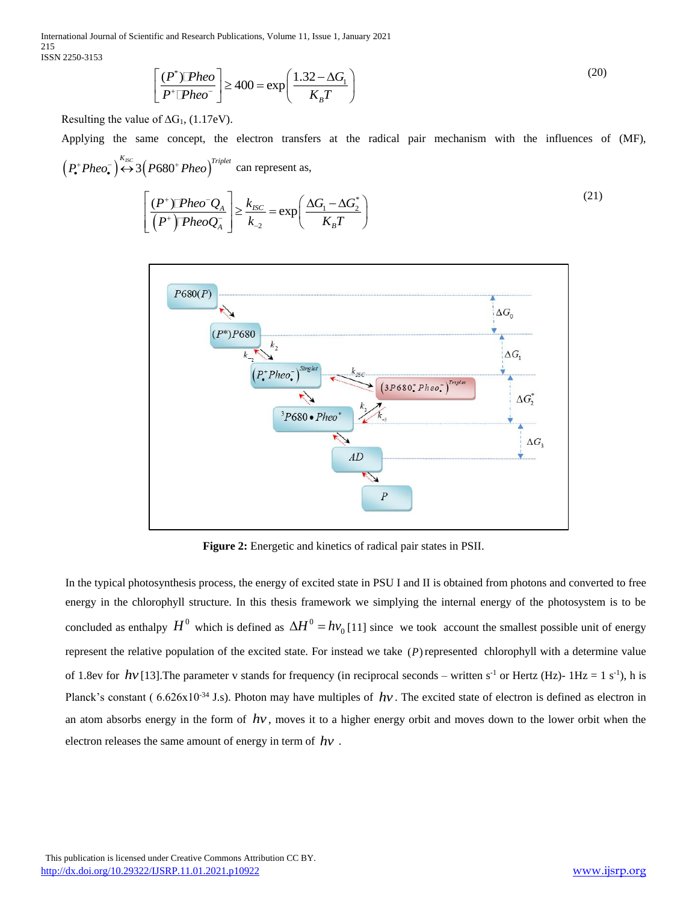International Journal of Scientific and Research Publications, Volume 11, Issue 1, January 2021 215 ISSN 2250-3153

$$
\left[\frac{(P^*)\mathbb{P}heo}{P^*\mathbb{P}heo}\right] \ge 400 = \exp\left(\frac{1.32 - \Delta G_1}{K_B T}\right)
$$
\n(20)

Resulting the value of  $\Delta G_1$ , (1.17eV).

Applying the same concept, the electron transfers at the radical pair mechanism with the influences of (MF),  $\left(P_{\bullet}^{+}Pheo_{\bullet}^{-}\right) \stackrel{K_{ISC}}{\leftrightarrow} 3\left(P680^{+}Pheo\right)^{Triplet}$  can represent as,

$$
\left[\frac{(P^*)\mathbb{P}heo^{\mathsf{T}}Q_A}{(P^*)\mathbb{P}heoQ_A}\right] \geq \frac{k_{\text{ISC}}}{k_{\text{c}}} = \exp\left(\frac{\Delta G_1 - \Delta G_2^*}{K_B T}\right)
$$
\n(21)



**Figure 2:** Energetic and kinetics of radical pair states in PSII.

In the typical photosynthesis process, the energy of excited state in PSU I and II is obtained from photons and converted to free energy in the chlorophyll structure. In this thesis framework we simplying the internal energy of the photosystem is to be concluded as enthalpy  $H^0$  which is defined as  $\Delta H^0 = h v_0$  [11] since we took account the smallest possible unit of energy represent the relative population of the excited state. For instead we take  $(P)$  represented chlorophyll with a determine value of 1.8ev for  $hv$  [13]. The parameter v stands for frequency (in reciprocal seconds – written s<sup>-1</sup> or Hertz (Hz)- 1Hz = 1 s<sup>-1</sup>), h is Planck's constant ( $6.626 \times 10^{-34}$  J.s). Photon may have multiples of  $hv$ . The excited state of electron is defined as electron in an atom absorbs energy in the form of  $hv$ , moves it to a higher energy orbit and moves down to the lower orbit when the electron releases the same amount of energy in term of *hv* .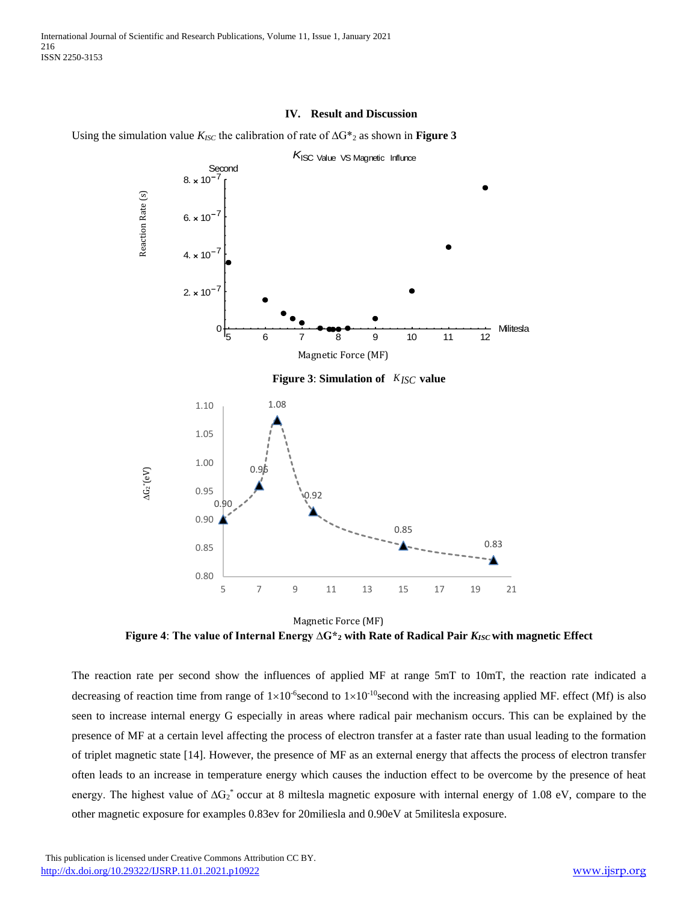#### **IV. Result and Discussion**

Using the simulation value *KISC* the calibration of rate of ∆G\*<sup>2</sup> as shown in **Figure 3**



**Figure 4**: **The value of Internal Energy ∆G\*<sup>2</sup> with Rate of Radical Pair** *KISC* **with magnetic Effect** Magnetic Force (MF)

The reaction rate per second show the influences of applied MF at range 5mT to 10mT, the reaction rate indicated a decreasing of reaction time from range of  $1\times10^{-6}$  second to  $1\times10^{-10}$  second with the increasing applied MF. effect (Mf) is also seen to increase internal energy G especially in areas where radical pair mechanism occurs. This can be explained by the presence of MF at a certain level affecting the process of electron transfer at a faster rate than usual leading to the formation of triplet magnetic state [14]. However, the presence of MF as an external energy that affects the process of electron transfer often leads to an increase in temperature energy which causes the induction effect to be overcome by the presence of heat energy. The highest value of  $\Delta G_2^*$  occur at 8 miltesla magnetic exposure with internal energy of 1.08 eV, compare to the other magnetic exposure for examples 0.83ev for 20miliesla and 0.90eV at 5militesla exposure.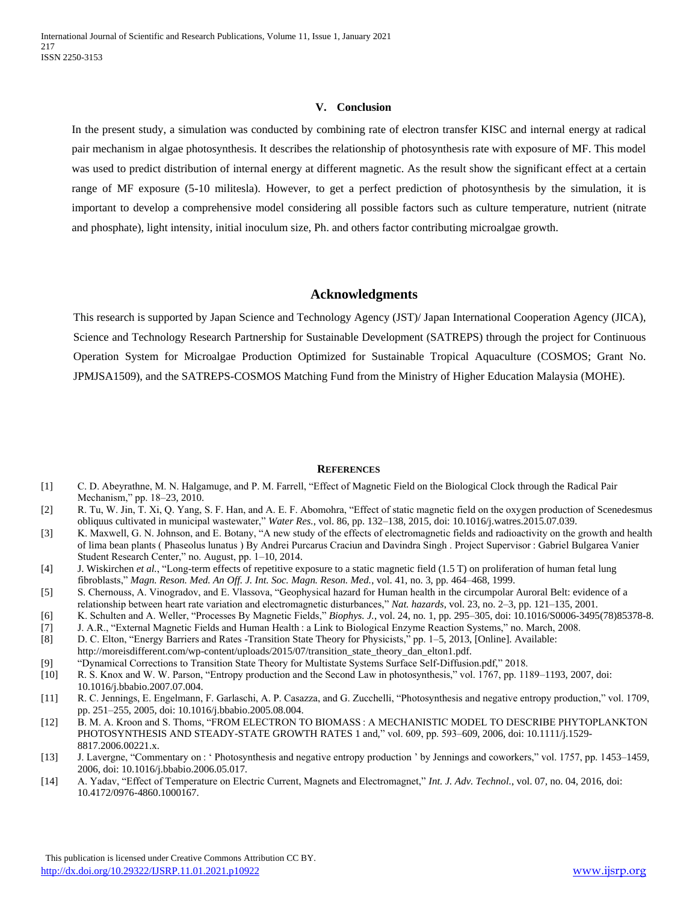#### **V. Conclusion**

In the present study, a simulation was conducted by combining rate of electron transfer KISC and internal energy at radical pair mechanism in algae photosynthesis. It describes the relationship of photosynthesis rate with exposure of MF. This model was used to predict distribution of internal energy at different magnetic. As the result show the significant effect at a certain range of MF exposure (5-10 militesla). However, to get a perfect prediction of photosynthesis by the simulation, it is important to develop a comprehensive model considering all possible factors such as culture temperature, nutrient (nitrate and phosphate), light intensity, initial inoculum size, Ph. and others factor contributing microalgae growth.

### **Acknowledgments**

This research is supported by Japan Science and Technology Agency (JST)/ Japan International Cooperation Agency (JICA), Science and Technology Research Partnership for Sustainable Development (SATREPS) through the project for Continuous Operation System for Microalgae Production Optimized for Sustainable Tropical Aquaculture (COSMOS; Grant No. JPMJSA1509), and the SATREPS-COSMOS Matching Fund from the Ministry of Higher Education Malaysia (MOHE).

#### **REFERENCES**

- [1] C. D. Abeyrathne, M. N. Halgamuge, and P. M. Farrell, "Effect of Magnetic Field on the Biological Clock through the Radical Pair Mechanism," pp. 18–23, 2010.
- [2] R. Tu, W. Jin, T. Xi, Q. Yang, S. F. Han, and A. E. F. Abomohra, "Effect of static magnetic field on the oxygen production of Scenedesmus obliquus cultivated in municipal wastewater," *Water Res.*, vol. 86, pp. 132–138, 2015, doi: 10.1016/j.watres.2015.07.039.
- [3] K. Maxwell, G. N. Johnson, and E. Botany, "A new study of the effects of electromagnetic fields and radioactivity on the growth and health of lima bean plants ( Phaseolus lunatus ) By Andrei Purcarus Craciun and Davindra Singh . Project Supervisor : Gabriel Bulgarea Vanier Student Research Center," no. August, pp. 1–10, 2014.
- [4] J. Wiskirchen *et al.*, "Long-term effects of repetitive exposure to a static magnetic field (1.5 T) on proliferation of human fetal lung fibroblasts," *Magn. Reson. Med. An Off. J. Int. Soc. Magn. Reson. Med.*, vol. 41, no. 3, pp. 464–468, 1999.
- [5] S. Chernouss, A. Vinogradov, and E. Vlassova, "Geophysical hazard for Human health in the circumpolar Auroral Belt: evidence of a relationship between heart rate variation and electromagnetic disturbances," *Nat. hazards*, vol. 23, no. 2–3, pp. 121–135, 2001.
- [6] K. Schulten and A. Weller, "Processes By Magnetic Fields," *Biophys. J.*, vol. 24, no. 1, pp. 295–305, doi: 10.1016/S0006-3495(78)85378-8.
- [7] J. A.R., "External Magnetic Fields and Human Health : a Link to Biological Enzyme Reaction Systems," no. March, 2008.
- [8] D. C. Elton, "Energy Barriers and Rates -Transition State Theory for Physicists," pp. 1–5, 2013, [Online]. Available: http://moreisdifferent.com/wp-content/uploads/2015/07/transition\_state\_theory\_dan\_elton1.pdf.
- [9] "Dynamical Corrections to Transition State Theory for Multistate Systems Surface Self-Diffusion.pdf," 2018.
- [10] R. S. Knox and W. W. Parson, "Entropy production and the Second Law in photosynthesis," vol. 1767, pp. 1189–1193, 2007, doi: 10.1016/j.bbabio.2007.07.004.
- [11] R. C. Jennings, E. Engelmann, F. Garlaschi, A. P. Casazza, and G. Zucchelli, "Photosynthesis and negative entropy production," vol. 1709, pp. 251–255, 2005, doi: 10.1016/j.bbabio.2005.08.004.
- [12] B. M. A. Kroon and S. Thoms, "FROM ELECTRON TO BIOMASS : A MECHANISTIC MODEL TO DESCRIBE PHYTOPLANKTON PHOTOSYNTHESIS AND STEADY-STATE GROWTH RATES 1 and," vol. 609, pp. 593–609, 2006, doi: 10.1111/j.1529- 8817.2006.00221.x.
- [13] J. Lavergne, "Commentary on : ' Photosynthesis and negative entropy production ' by Jennings and coworkers," vol. 1757, pp. 1453–1459, 2006, doi: 10.1016/j.bbabio.2006.05.017.
- [14] A. Yadav, "Effect of Temperature on Electric Current, Magnets and Electromagnet," *Int. J. Adv. Technol.*, vol. 07, no. 04, 2016, doi: 10.4172/0976-4860.1000167.